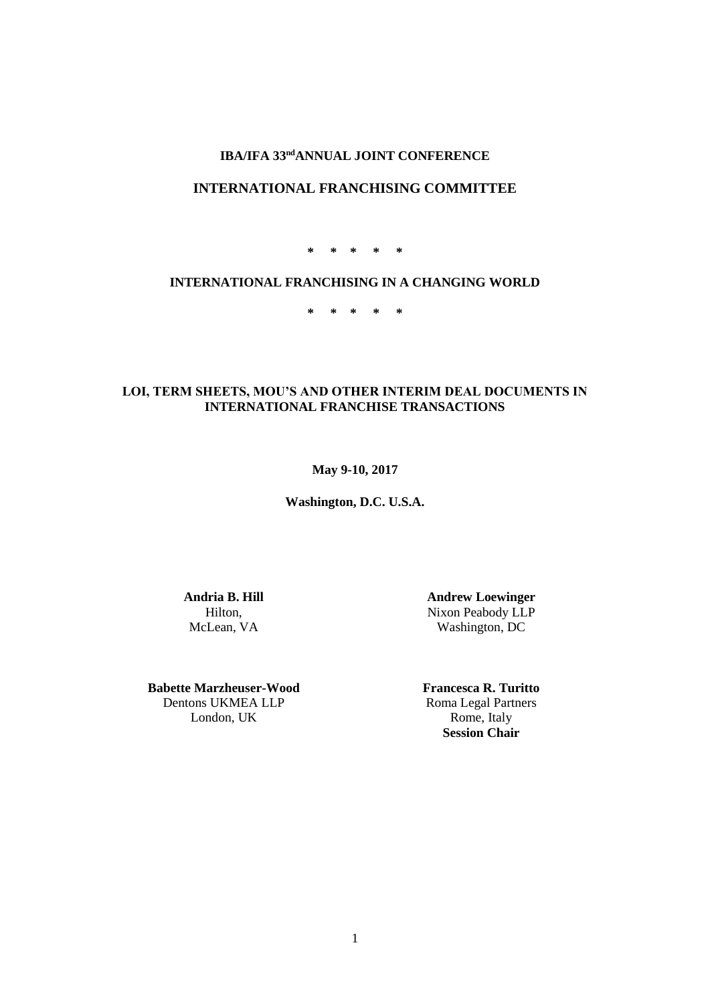# **IBA/IFA 33<sup>nd</sup>ANNUAL JOINT CONFERENCE**

# **INTERNATIONAL FRANCHISING COMMITTEE**

**\* \* \* \* \***

# **INTERNATIONAL FRANCHISING IN A CHANGING WORLD**

**\* \* \* \* \***

## **LOI, TERM SHEETS, MOU'S AND OTHER INTERIM DEAL DOCUMENTS IN INTERNATIONAL FRANCHISE TRANSACTIONS**

## **May 9-10, 2017**

**Washington, D.C. U.S.A.**

**Andria B. Hill** Hilton, McLean, VA

**Babette Marzheuser-Wood** Dentons UKMEA LLP London, UK

**Andrew Loewinger** Nixon Peabody LLP Washington, DC

**Francesca R. Turitto** Roma Legal Partners Rome, Italy **Session Chair**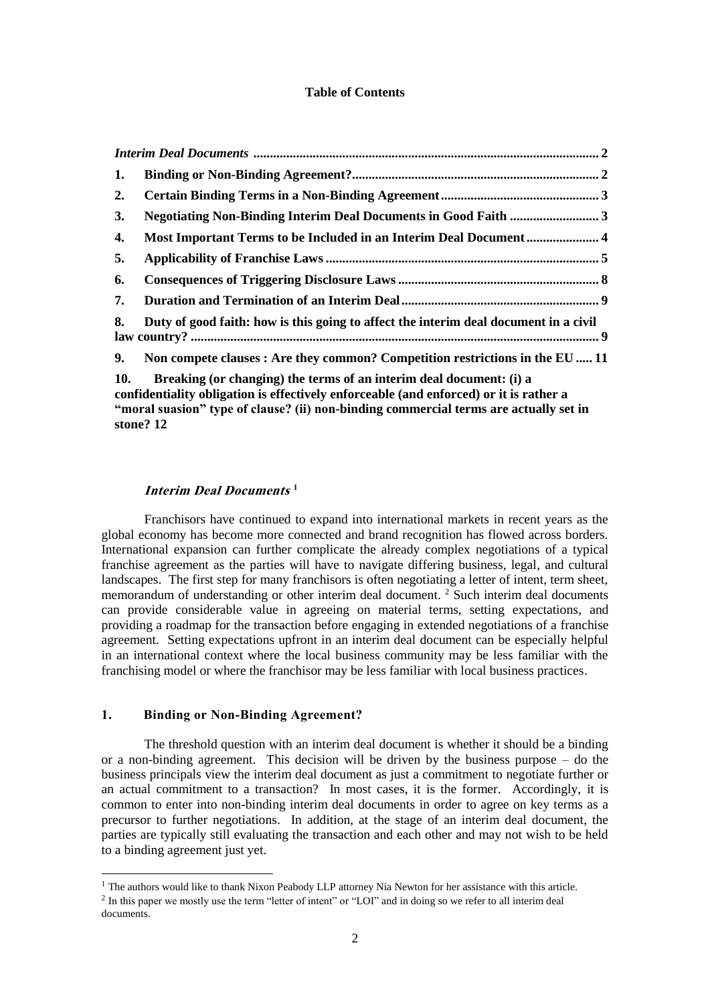### **Table of Contents**

| 1.  |                                                                                                                                                                                                                                                        |  |
|-----|--------------------------------------------------------------------------------------------------------------------------------------------------------------------------------------------------------------------------------------------------------|--|
| 2.  |                                                                                                                                                                                                                                                        |  |
| 3.  |                                                                                                                                                                                                                                                        |  |
| 4.  | Most Important Terms to be Included in an Interim Deal Document 4                                                                                                                                                                                      |  |
| 5.  |                                                                                                                                                                                                                                                        |  |
| 6.  |                                                                                                                                                                                                                                                        |  |
| 7.  |                                                                                                                                                                                                                                                        |  |
| 8.  | Duty of good faith: how is this going to affect the interim deal document in a civil                                                                                                                                                                   |  |
| 9.  | Non compete clauses : Are they common? Competition restrictions in the EU  11                                                                                                                                                                          |  |
| 10. | Breaking (or changing) the terms of an interim deal document: (i) a<br>confidentiality obligation is effectively enforceable (and enforced) or it is rather a<br>"moral suasion" type of clause? (ii) non-binding commercial terms are actually set in |  |

**[stone?](#page-11-0) 12**

1

#### **Interim Deal Documents 1**

<span id="page-1-0"></span>Franchisors have continued to expand into international markets in recent years as the global economy has become more connected and brand recognition has flowed across borders. International expansion can further complicate the already complex negotiations of a typical franchise agreement as the parties will have to navigate differing business, legal, and cultural landscapes. The first step for many franchisors is often negotiating a letter of intent, term sheet, memorandum of understanding or other interim deal document.<sup>2</sup> Such interim deal documents can provide considerable value in agreeing on material terms, setting expectations, and providing a roadmap for the transaction before engaging in extended negotiations of a franchise agreement. Setting expectations upfront in an interim deal document can be especially helpful in an international context where the local business community may be less familiar with the franchising model or where the franchisor may be less familiar with local business practices.

## <span id="page-1-1"></span>**1. Binding or Non-Binding Agreement?**

The threshold question with an interim deal document is whether it should be a binding or a non-binding agreement. This decision will be driven by the business purpose – do the business principals view the interim deal document as just a commitment to negotiate further or an actual commitment to a transaction? In most cases, it is the former. Accordingly, it is common to enter into non-binding interim deal documents in order to agree on key terms as a precursor to further negotiations. In addition, at the stage of an interim deal document, the parties are typically still evaluating the transaction and each other and may not wish to be held to a binding agreement just yet.

<sup>&</sup>lt;sup>1</sup> The authors would like to thank Nixon Peabody LLP attorney Nia Newton for her assistance with this article.

<sup>&</sup>lt;sup>2</sup> In this paper we mostly use the term "letter of intent" or "LOI" and in doing so we refer to all interim deal documents.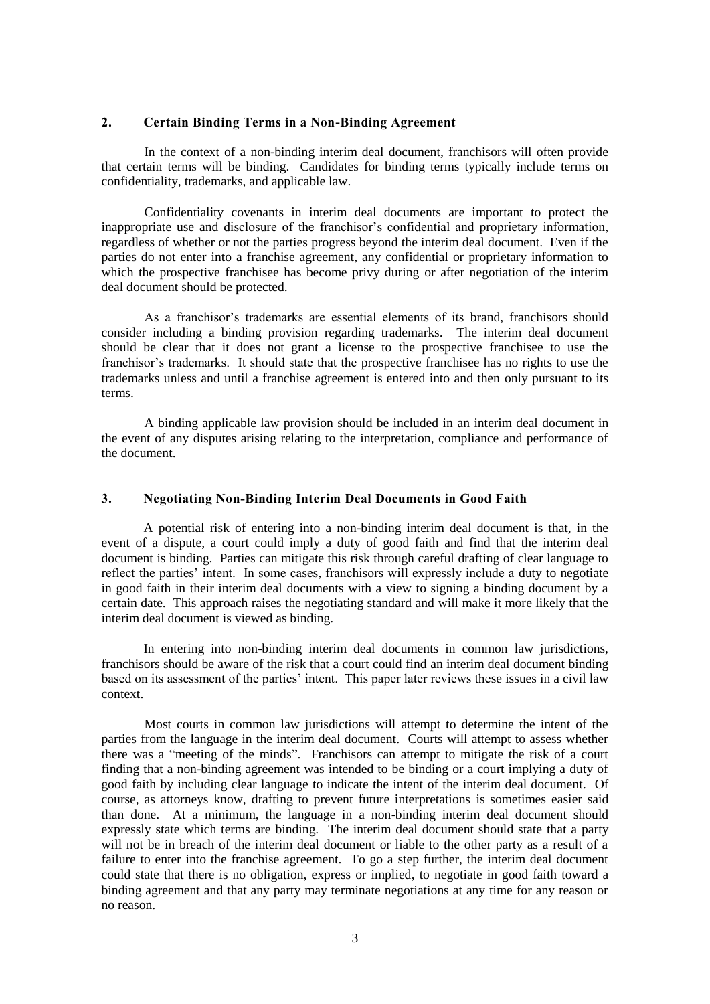#### <span id="page-2-0"></span>**2. Certain Binding Terms in a Non-Binding Agreement**

In the context of a non-binding interim deal document, franchisors will often provide that certain terms will be binding. Candidates for binding terms typically include terms on confidentiality, trademarks, and applicable law.

Confidentiality covenants in interim deal documents are important to protect the inappropriate use and disclosure of the franchisor's confidential and proprietary information, regardless of whether or not the parties progress beyond the interim deal document. Even if the parties do not enter into a franchise agreement, any confidential or proprietary information to which the prospective franchisee has become privy during or after negotiation of the interim deal document should be protected.

As a franchisor's trademarks are essential elements of its brand, franchisors should consider including a binding provision regarding trademarks. The interim deal document should be clear that it does not grant a license to the prospective franchisee to use the franchisor's trademarks. It should state that the prospective franchisee has no rights to use the trademarks unless and until a franchise agreement is entered into and then only pursuant to its terms.

A binding applicable law provision should be included in an interim deal document in the event of any disputes arising relating to the interpretation, compliance and performance of the document.

#### <span id="page-2-1"></span>**3. Negotiating Non-Binding Interim Deal Documents in Good Faith**

A potential risk of entering into a non-binding interim deal document is that, in the event of a dispute, a court could imply a duty of good faith and find that the interim deal document is binding. Parties can mitigate this risk through careful drafting of clear language to reflect the parties' intent. In some cases, franchisors will expressly include a duty to negotiate in good faith in their interim deal documents with a view to signing a binding document by a certain date. This approach raises the negotiating standard and will make it more likely that the interim deal document is viewed as binding.

In entering into non-binding interim deal documents in common law jurisdictions, franchisors should be aware of the risk that a court could find an interim deal document binding based on its assessment of the parties' intent. This paper later reviews these issues in a civil law context.

Most courts in common law jurisdictions will attempt to determine the intent of the parties from the language in the interim deal document. Courts will attempt to assess whether there was a "meeting of the minds". Franchisors can attempt to mitigate the risk of a court finding that a non-binding agreement was intended to be binding or a court implying a duty of good faith by including clear language to indicate the intent of the interim deal document. Of course, as attorneys know, drafting to prevent future interpretations is sometimes easier said than done. At a minimum, the language in a non-binding interim deal document should expressly state which terms are binding. The interim deal document should state that a party will not be in breach of the interim deal document or liable to the other party as a result of a failure to enter into the franchise agreement. To go a step further, the interim deal document could state that there is no obligation, express or implied, to negotiate in good faith toward a binding agreement and that any party may terminate negotiations at any time for any reason or no reason.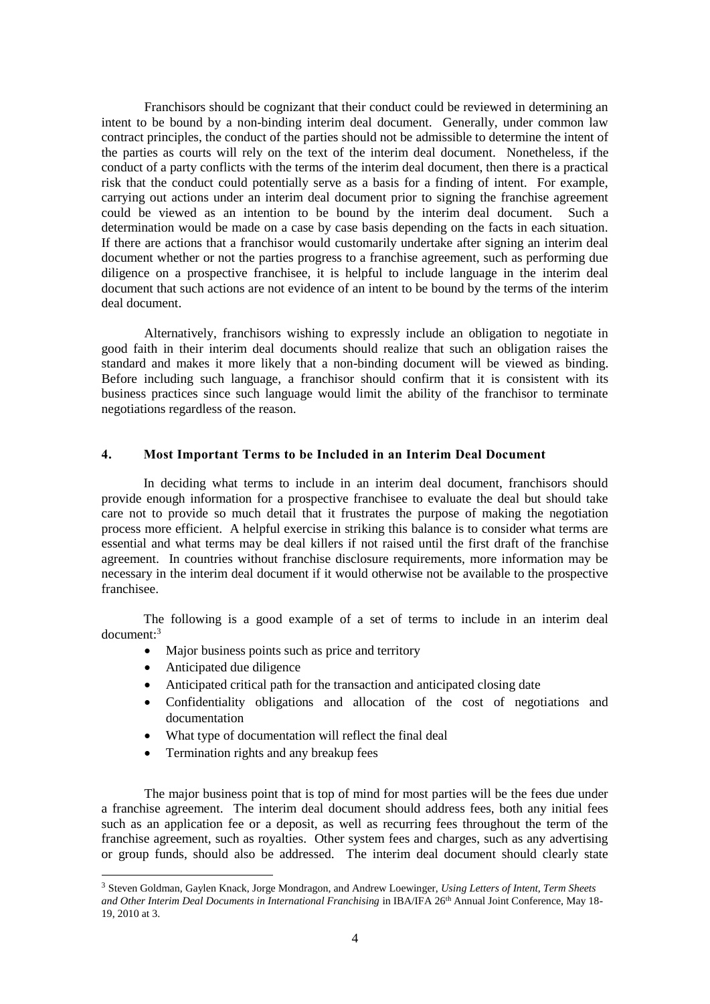Franchisors should be cognizant that their conduct could be reviewed in determining an intent to be bound by a non-binding interim deal document. Generally, under common law contract principles, the conduct of the parties should not be admissible to determine the intent of the parties as courts will rely on the text of the interim deal document. Nonetheless, if the conduct of a party conflicts with the terms of the interim deal document, then there is a practical risk that the conduct could potentially serve as a basis for a finding of intent. For example, carrying out actions under an interim deal document prior to signing the franchise agreement could be viewed as an intention to be bound by the interim deal document. Such a determination would be made on a case by case basis depending on the facts in each situation. If there are actions that a franchisor would customarily undertake after signing an interim deal document whether or not the parties progress to a franchise agreement, such as performing due diligence on a prospective franchisee, it is helpful to include language in the interim deal document that such actions are not evidence of an intent to be bound by the terms of the interim deal document.

Alternatively, franchisors wishing to expressly include an obligation to negotiate in good faith in their interim deal documents should realize that such an obligation raises the standard and makes it more likely that a non-binding document will be viewed as binding. Before including such language, a franchisor should confirm that it is consistent with its business practices since such language would limit the ability of the franchisor to terminate negotiations regardless of the reason.

## <span id="page-3-0"></span>**4. Most Important Terms to be Included in an Interim Deal Document**

In deciding what terms to include in an interim deal document, franchisors should provide enough information for a prospective franchisee to evaluate the deal but should take care not to provide so much detail that it frustrates the purpose of making the negotiation process more efficient. A helpful exercise in striking this balance is to consider what terms are essential and what terms may be deal killers if not raised until the first draft of the franchise agreement. In countries without franchise disclosure requirements, more information may be necessary in the interim deal document if it would otherwise not be available to the prospective franchisee.

The following is a good example of a set of terms to include in an interim deal document: 3

- Major business points such as price and territory
- Anticipated due diligence

1

- Anticipated critical path for the transaction and anticipated closing date
- Confidentiality obligations and allocation of the cost of negotiations and documentation
- What type of documentation will reflect the final deal
- Termination rights and any breakup fees

The major business point that is top of mind for most parties will be the fees due under a franchise agreement. The interim deal document should address fees, both any initial fees such as an application fee or a deposit, as well as recurring fees throughout the term of the franchise agreement, such as royalties. Other system fees and charges, such as any advertising or group funds, should also be addressed. The interim deal document should clearly state

<sup>3</sup> Steven Goldman, Gaylen Knack, Jorge Mondragon, and Andrew Loewinger, *Using Letters of Intent, Term Sheets and Other Interim Deal Documents in International Franchising* in IBA/IFA 26th Annual Joint Conference, May 18- 19, 2010 at 3.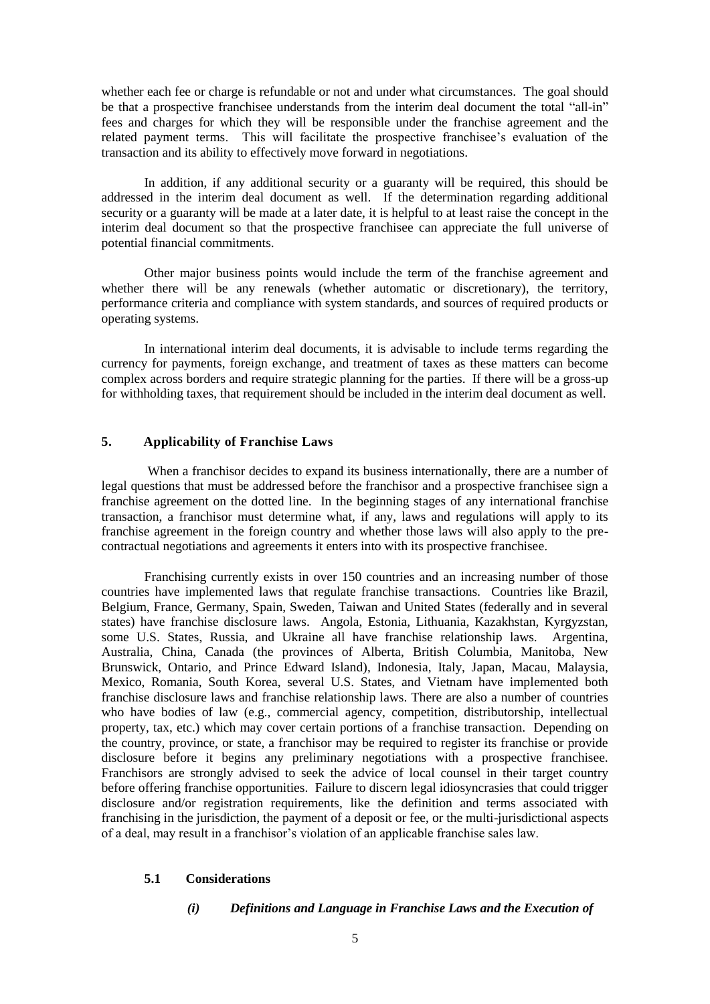whether each fee or charge is refundable or not and under what circumstances. The goal should be that a prospective franchisee understands from the interim deal document the total "all-in" fees and charges for which they will be responsible under the franchise agreement and the related payment terms. This will facilitate the prospective franchisee's evaluation of the transaction and its ability to effectively move forward in negotiations.

In addition, if any additional security or a guaranty will be required, this should be addressed in the interim deal document as well. If the determination regarding additional security or a guaranty will be made at a later date, it is helpful to at least raise the concept in the interim deal document so that the prospective franchisee can appreciate the full universe of potential financial commitments.

Other major business points would include the term of the franchise agreement and whether there will be any renewals (whether automatic or discretionary), the territory, performance criteria and compliance with system standards, and sources of required products or operating systems.

In international interim deal documents, it is advisable to include terms regarding the currency for payments, foreign exchange, and treatment of taxes as these matters can become complex across borders and require strategic planning for the parties. If there will be a gross-up for withholding taxes, that requirement should be included in the interim deal document as well.

#### <span id="page-4-0"></span>**5. Applicability of Franchise Laws**

When a franchisor decides to expand its business internationally, there are a number of legal questions that must be addressed before the franchisor and a prospective franchisee sign a franchise agreement on the dotted line. In the beginning stages of any international franchise transaction, a franchisor must determine what, if any, laws and regulations will apply to its franchise agreement in the foreign country and whether those laws will also apply to the precontractual negotiations and agreements it enters into with its prospective franchisee.

Franchising currently exists in over 150 countries and an increasing number of those countries have implemented laws that regulate franchise transactions. Countries like Brazil, Belgium, France, Germany, Spain, Sweden, Taiwan and United States (federally and in several states) have franchise disclosure laws. Angola, Estonia, Lithuania, Kazakhstan, Kyrgyzstan, some U.S. States, Russia, and Ukraine all have franchise relationship laws. Argentina, Australia, China, Canada (the provinces of Alberta, British Columbia, Manitoba, New Brunswick, Ontario, and Prince Edward Island), Indonesia, Italy, Japan, Macau, Malaysia, Mexico, Romania, South Korea, several U.S. States, and Vietnam have implemented both franchise disclosure laws and franchise relationship laws. There are also a number of countries who have bodies of law (e.g., commercial agency, competition, distributorship, intellectual property, tax, etc.) which may cover certain portions of a franchise transaction. Depending on the country, province, or state, a franchisor may be required to register its franchise or provide disclosure before it begins any preliminary negotiations with a prospective franchisee. Franchisors are strongly advised to seek the advice of local counsel in their target country before offering franchise opportunities. Failure to discern legal idiosyncrasies that could trigger disclosure and/or registration requirements, like the definition and terms associated with franchising in the jurisdiction, the payment of a deposit or fee, or the multi-jurisdictional aspects of a deal, may result in a franchisor's violation of an applicable franchise sales law.

#### **5.1 Considerations**

#### *(i) Definitions and Language in Franchise Laws and the Execution of*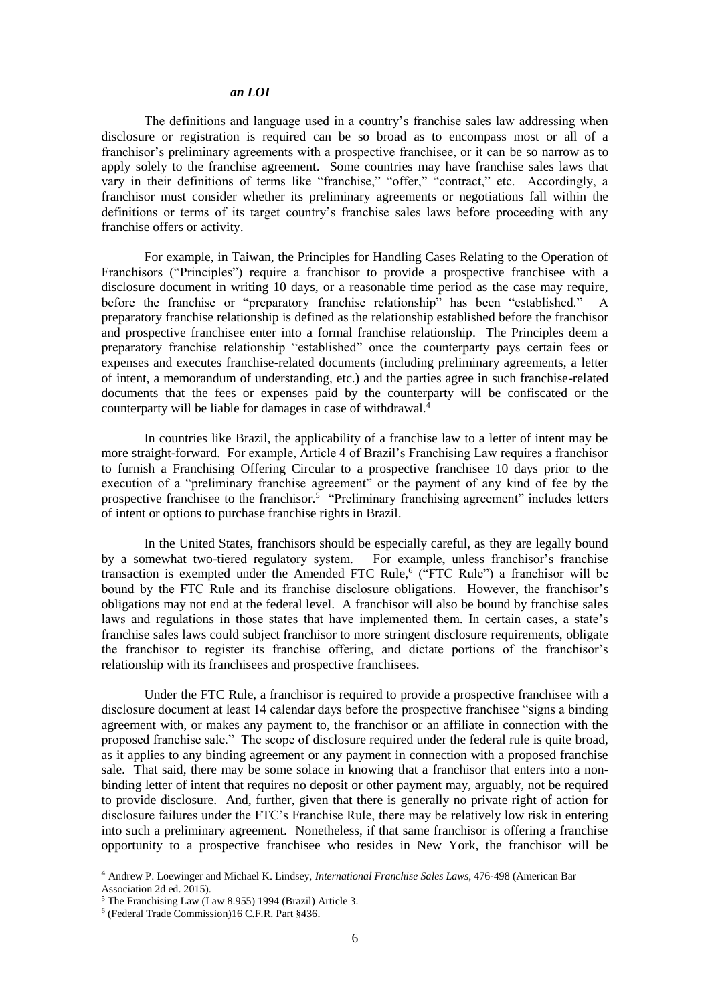#### *an LOI*

The definitions and language used in a country's franchise sales law addressing when disclosure or registration is required can be so broad as to encompass most or all of a franchisor's preliminary agreements with a prospective franchisee, or it can be so narrow as to apply solely to the franchise agreement. Some countries may have franchise sales laws that vary in their definitions of terms like "franchise," "offer," "contract," etc. Accordingly, a franchisor must consider whether its preliminary agreements or negotiations fall within the definitions or terms of its target country's franchise sales laws before proceeding with any franchise offers or activity.

For example, in Taiwan, the Principles for Handling Cases Relating to the Operation of Franchisors ("Principles") require a franchisor to provide a prospective franchisee with a disclosure document in writing 10 days, or a reasonable time period as the case may require, before the franchise or "preparatory franchise relationship" has been "established." A preparatory franchise relationship is defined as the relationship established before the franchisor and prospective franchisee enter into a formal franchise relationship. The Principles deem a preparatory franchise relationship "established" once the counterparty pays certain fees or expenses and executes franchise-related documents (including preliminary agreements, a letter of intent, a memorandum of understanding, etc.) and the parties agree in such franchise-related documents that the fees or expenses paid by the counterparty will be confiscated or the counterparty will be liable for damages in case of withdrawal.<sup>4</sup>

In countries like Brazil, the applicability of a franchise law to a letter of intent may be more straight-forward. For example, Article 4 of Brazil's Franchising Law requires a franchisor to furnish a Franchising Offering Circular to a prospective franchisee 10 days prior to the execution of a "preliminary franchise agreement" or the payment of any kind of fee by the prospective franchisee to the franchisor.<sup>5</sup> "Preliminary franchising agreement" includes letters of intent or options to purchase franchise rights in Brazil.

In the United States, franchisors should be especially careful, as they are legally bound by a somewhat two-tiered regulatory system. For example, unless franchisor's franchise transaction is exempted under the Amended FTC Rule,<sup>6</sup> ("FTC Rule") a franchisor will be bound by the FTC Rule and its franchise disclosure obligations. However, the franchisor's obligations may not end at the federal level. A franchisor will also be bound by franchise sales laws and regulations in those states that have implemented them. In certain cases, a state's franchise sales laws could subject franchisor to more stringent disclosure requirements, obligate the franchisor to register its franchise offering, and dictate portions of the franchisor's relationship with its franchisees and prospective franchisees.

Under the FTC Rule, a franchisor is required to provide a prospective franchisee with a disclosure document at least 14 calendar days before the prospective franchisee "signs a binding agreement with, or makes any payment to, the franchisor or an affiliate in connection with the proposed franchise sale." The scope of disclosure required under the federal rule is quite broad, as it applies to any binding agreement or any payment in connection with a proposed franchise sale. That said, there may be some solace in knowing that a franchisor that enters into a nonbinding letter of intent that requires no deposit or other payment may, arguably, not be required to provide disclosure. And, further, given that there is generally no private right of action for disclosure failures under the FTC's Franchise Rule, there may be relatively low risk in entering into such a preliminary agreement. Nonetheless, if that same franchisor is offering a franchise opportunity to a prospective franchisee who resides in New York, the franchisor will be

<sup>4</sup> Andrew P. Loewinger and Michael K. Lindsey, *International Franchise Sales Laws*, 476-498 (American Bar Association 2d ed. 2015).

<sup>5</sup> The Franchising Law (Law 8.955) 1994 (Brazil) Article 3.

<sup>6</sup> (Federal Trade Commission)16 C.F.R. Part §436.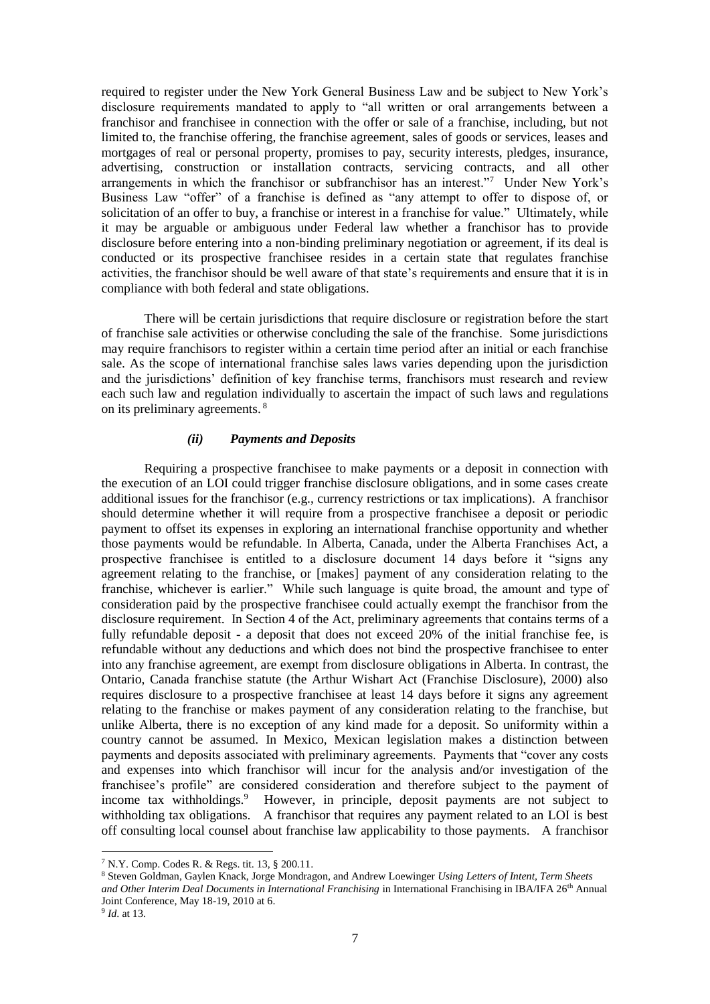required to register under the New York General Business Law and be subject to New York's disclosure requirements mandated to apply to "all written or oral arrangements between a franchisor and franchisee in connection with the offer or sale of a franchise, including, but not limited to, the franchise offering, the franchise agreement, sales of goods or services, leases and mortgages of real or personal property, promises to pay, security interests, pledges, insurance, advertising, construction or installation contracts, servicing contracts, and all other arrangements in which the franchisor or subfranchisor has an interest."<sup>7</sup> Under New York's Business Law "offer" of a franchise is defined as "any attempt to offer to dispose of, or solicitation of an offer to buy, a franchise or interest in a franchise for value." Ultimately, while it may be arguable or ambiguous under Federal law whether a franchisor has to provide disclosure before entering into a non-binding preliminary negotiation or agreement, if its deal is conducted or its prospective franchisee resides in a certain state that regulates franchise activities, the franchisor should be well aware of that state's requirements and ensure that it is in compliance with both federal and state obligations.

There will be certain jurisdictions that require disclosure or registration before the start of franchise sale activities or otherwise concluding the sale of the franchise. Some jurisdictions may require franchisors to register within a certain time period after an initial or each franchise sale. As the scope of international franchise sales laws varies depending upon the jurisdiction and the jurisdictions' definition of key franchise terms, franchisors must research and review each such law and regulation individually to ascertain the impact of such laws and regulations on its preliminary agreements. <sup>8</sup>

### *(ii) Payments and Deposits*

Requiring a prospective franchisee to make payments or a deposit in connection with the execution of an LOI could trigger franchise disclosure obligations, and in some cases create additional issues for the franchisor (e.g., currency restrictions or tax implications). A franchisor should determine whether it will require from a prospective franchisee a deposit or periodic payment to offset its expenses in exploring an international franchise opportunity and whether those payments would be refundable. In Alberta, Canada, under the Alberta Franchises Act, a prospective franchisee is entitled to a disclosure document 14 days before it "signs any agreement relating to the franchise, or [makes] payment of any consideration relating to the franchise, whichever is earlier." While such language is quite broad, the amount and type of consideration paid by the prospective franchisee could actually exempt the franchisor from the disclosure requirement. In Section 4 of the Act, preliminary agreements that contains terms of a fully refundable deposit - a deposit that does not exceed 20% of the initial franchise fee, is refundable without any deductions and which does not bind the prospective franchisee to enter into any franchise agreement, are exempt from disclosure obligations in Alberta. In contrast, the Ontario, Canada franchise statute (the Arthur Wishart Act (Franchise Disclosure), 2000) also requires disclosure to a prospective franchisee at least 14 days before it signs any agreement relating to the franchise or makes payment of any consideration relating to the franchise, but unlike Alberta, there is no exception of any kind made for a deposit. So uniformity within a country cannot be assumed. In Mexico, Mexican legislation makes a distinction between payments and deposits associated with preliminary agreements. Payments that "cover any costs and expenses into which franchisor will incur for the analysis and/or investigation of the franchisee's profile" are considered consideration and therefore subject to the payment of income tax withholdings.<sup>9</sup> However, in principle, deposit payments are not subject to withholding tax obligations. A franchisor that requires any payment related to an LOI is best off consulting local counsel about franchise law applicability to those payments. A franchisor

1

<sup>7</sup> N.Y. Comp. Codes R. & Regs. tit. 13, § 200.11.

<sup>8</sup> Steven Goldman, Gaylen Knack, Jorge Mondragon, and Andrew Loewinger *Using Letters of Intent, Term Sheets and Other Interim Deal Documents in International Franchising* in International Franchising in IBA/IFA 26th Annual Joint Conference, May 18-19, 2010 at 6.

<sup>9</sup> *Id*. at 13.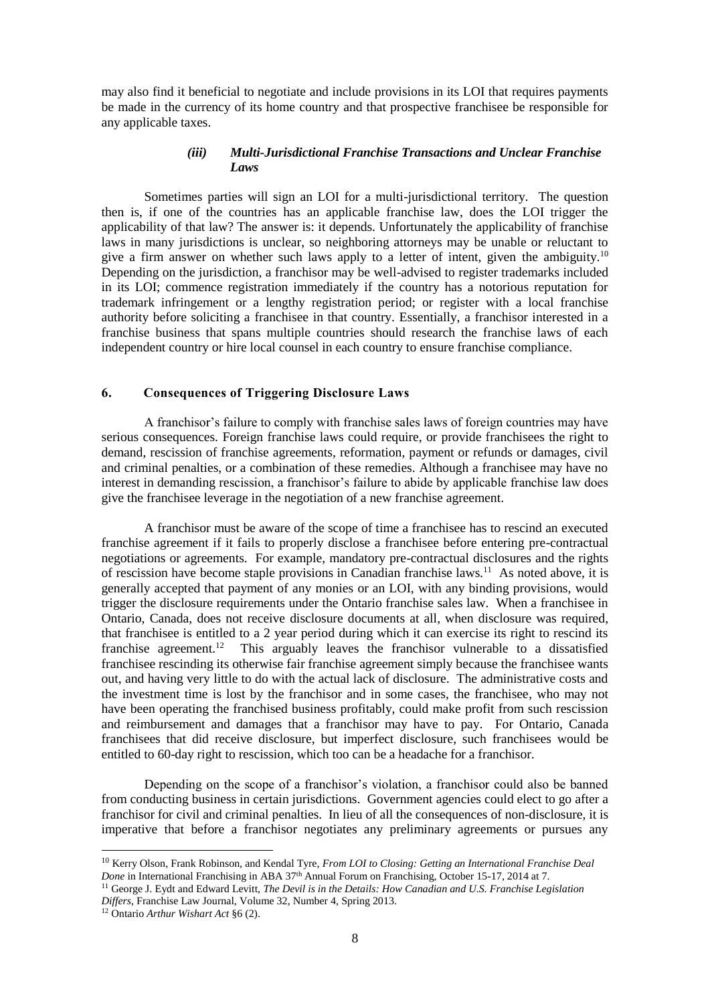may also find it beneficial to negotiate and include provisions in its LOI that requires payments be made in the currency of its home country and that prospective franchisee be responsible for any applicable taxes.

## *(iii) Multi-Jurisdictional Franchise Transactions and Unclear Franchise Laws*

Sometimes parties will sign an LOI for a multi-jurisdictional territory. The question then is, if one of the countries has an applicable franchise law, does the LOI trigger the applicability of that law? The answer is: it depends. Unfortunately the applicability of franchise laws in many jurisdictions is unclear, so neighboring attorneys may be unable or reluctant to give a firm answer on whether such laws apply to a letter of intent, given the ambiguity.<sup>10</sup> Depending on the jurisdiction, a franchisor may be well-advised to register trademarks included in its LOI; commence registration immediately if the country has a notorious reputation for trademark infringement or a lengthy registration period; or register with a local franchise authority before soliciting a franchisee in that country. Essentially, a franchisor interested in a franchise business that spans multiple countries should research the franchise laws of each independent country or hire local counsel in each country to ensure franchise compliance.

## <span id="page-7-0"></span>**6. Consequences of Triggering Disclosure Laws**

A franchisor's failure to comply with franchise sales laws of foreign countries may have serious consequences. Foreign franchise laws could require, or provide franchisees the right to demand, rescission of franchise agreements, reformation, payment or refunds or damages, civil and criminal penalties, or a combination of these remedies. Although a franchisee may have no interest in demanding rescission, a franchisor's failure to abide by applicable franchise law does give the franchisee leverage in the negotiation of a new franchise agreement.

A franchisor must be aware of the scope of time a franchisee has to rescind an executed franchise agreement if it fails to properly disclose a franchisee before entering pre-contractual negotiations or agreements. For example, mandatory pre-contractual disclosures and the rights of rescission have become staple provisions in Canadian franchise laws.<sup>11</sup> As noted above, it is generally accepted that payment of any monies or an LOI, with any binding provisions, would trigger the disclosure requirements under the Ontario franchise sales law. When a franchisee in Ontario, Canada, does not receive disclosure documents at all, when disclosure was required, that franchisee is entitled to a 2 year period during which it can exercise its right to rescind its franchise agreement.<sup>12</sup> This arguably leaves the franchisor vulnerable to a dissatisfied franchisee rescinding its otherwise fair franchise agreement simply because the franchisee wants out, and having very little to do with the actual lack of disclosure. The administrative costs and the investment time is lost by the franchisor and in some cases, the franchisee, who may not have been operating the franchised business profitably, could make profit from such rescission and reimbursement and damages that a franchisor may have to pay. For Ontario, Canada franchisees that did receive disclosure, but imperfect disclosure, such franchisees would be entitled to 60-day right to rescission, which too can be a headache for a franchisor.

Depending on the scope of a franchisor's violation, a franchisor could also be banned from conducting business in certain jurisdictions. Government agencies could elect to go after a franchisor for civil and criminal penalties. In lieu of all the consequences of non-disclosure, it is imperative that before a franchisor negotiates any preliminary agreements or pursues any

1

<sup>10</sup> Kerry Olson, Frank Robinson, and Kendal Tyre, *From LOI to Closing: Getting an International Franchise Deal Done* in International Franchising in ABA 37th Annual Forum on Franchising, October 15-17, 2014 at 7.

<sup>&</sup>lt;sup>11</sup> George J. Eydt and Edward Levitt, *The Devil is in the Details: How Canadian and U.S. Franchise Legislation Differs*, Franchise Law Journal, Volume 32, Number 4, Spring 2013.

<sup>12</sup> Ontario *Arthur Wishart Act* §6 (2).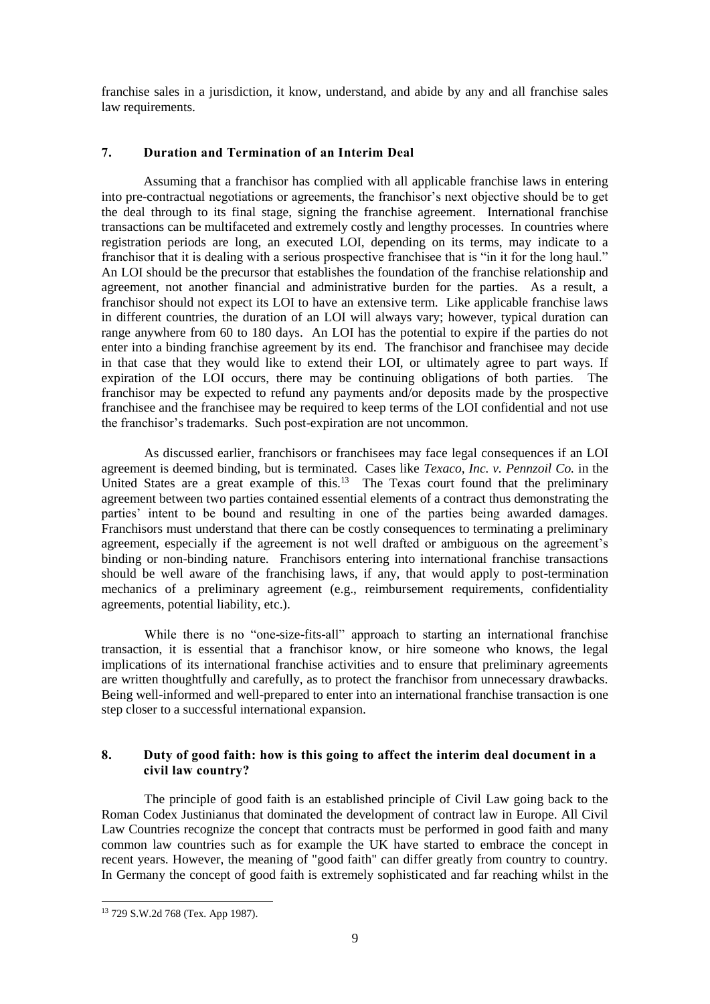franchise sales in a jurisdiction, it know, understand, and abide by any and all franchise sales law requirements.

# <span id="page-8-0"></span>**7. Duration and Termination of an Interim Deal**

Assuming that a franchisor has complied with all applicable franchise laws in entering into pre-contractual negotiations or agreements, the franchisor's next objective should be to get the deal through to its final stage, signing the franchise agreement. International franchise transactions can be multifaceted and extremely costly and lengthy processes. In countries where registration periods are long, an executed LOI, depending on its terms, may indicate to a franchisor that it is dealing with a serious prospective franchisee that is "in it for the long haul." An LOI should be the precursor that establishes the foundation of the franchise relationship and agreement, not another financial and administrative burden for the parties. As a result, a franchisor should not expect its LOI to have an extensive term. Like applicable franchise laws in different countries, the duration of an LOI will always vary; however, typical duration can range anywhere from 60 to 180 days. An LOI has the potential to expire if the parties do not enter into a binding franchise agreement by its end. The franchisor and franchisee may decide in that case that they would like to extend their LOI, or ultimately agree to part ways. If expiration of the LOI occurs, there may be continuing obligations of both parties. The franchisor may be expected to refund any payments and/or deposits made by the prospective franchisee and the franchisee may be required to keep terms of the LOI confidential and not use the franchisor's trademarks. Such post-expiration are not uncommon.

As discussed earlier, franchisors or franchisees may face legal consequences if an LOI agreement is deemed binding, but is terminated. Cases like *Texaco, Inc. v. Pennzoil Co.* in the United States are a great example of this.<sup>13</sup> The Texas court found that the preliminary agreement between two parties contained essential elements of a contract thus demonstrating the parties' intent to be bound and resulting in one of the parties being awarded damages. Franchisors must understand that there can be costly consequences to terminating a preliminary agreement, especially if the agreement is not well drafted or ambiguous on the agreement's binding or non-binding nature. Franchisors entering into international franchise transactions should be well aware of the franchising laws, if any, that would apply to post-termination mechanics of a preliminary agreement (e.g., reimbursement requirements, confidentiality agreements, potential liability, etc.).

While there is no "one-size-fits-all" approach to starting an international franchise transaction, it is essential that a franchisor know, or hire someone who knows, the legal implications of its international franchise activities and to ensure that preliminary agreements are written thoughtfully and carefully, as to protect the franchisor from unnecessary drawbacks. Being well-informed and well-prepared to enter into an international franchise transaction is one step closer to a successful international expansion.

## <span id="page-8-1"></span>**8. Duty of good faith: how is this going to affect the interim deal document in a civil law country?**

The principle of good faith is an established principle of Civil Law going back to the Roman Codex Justinianus that dominated the development of contract law in Europe. All Civil Law Countries recognize the concept that contracts must be performed in good faith and many common law countries such as for example the UK have started to embrace the concept in recent years. However, the meaning of "good faith" can differ greatly from country to country. In Germany the concept of good faith is extremely sophisticated and far reaching whilst in the

<sup>13</sup> 729 S.W.2d 768 (Tex. App 1987).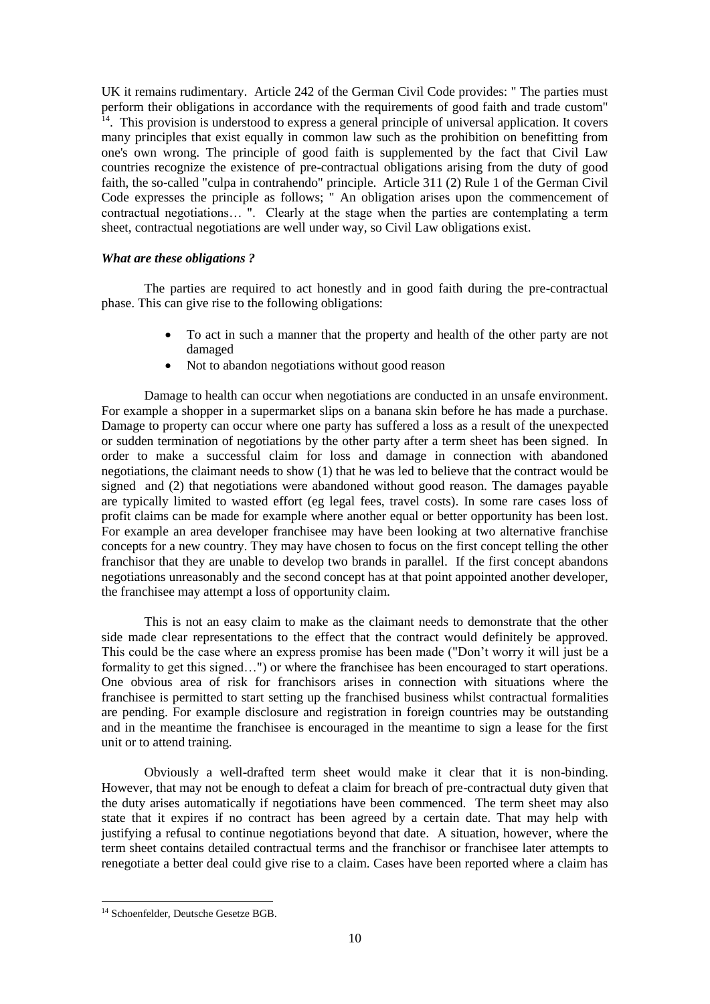UK it remains rudimentary. Article 242 of the German Civil Code provides: " The parties must perform their obligations in accordance with the requirements of good faith and trade custom" <sup>14</sup>. This provision is understood to express a general principle of universal application. It covers many principles that exist equally in common law such as the prohibition on benefitting from one's own wrong. The principle of good faith is supplemented by the fact that Civil Law countries recognize the existence of pre-contractual obligations arising from the duty of good faith, the so-called "culpa in contrahendo" principle. Article 311 (2) Rule 1 of the German Civil Code expresses the principle as follows; " An obligation arises upon the commencement of contractual negotiations… ". Clearly at the stage when the parties are contemplating a term sheet, contractual negotiations are well under way, so Civil Law obligations exist.

### *What are these obligations ?*

The parties are required to act honestly and in good faith during the pre-contractual phase. This can give rise to the following obligations:

- To act in such a manner that the property and health of the other party are not damaged
- Not to abandon negotiations without good reason

Damage to health can occur when negotiations are conducted in an unsafe environment. For example a shopper in a supermarket slips on a banana skin before he has made a purchase. Damage to property can occur where one party has suffered a loss as a result of the unexpected or sudden termination of negotiations by the other party after a term sheet has been signed. In order to make a successful claim for loss and damage in connection with abandoned negotiations, the claimant needs to show (1) that he was led to believe that the contract would be signed and (2) that negotiations were abandoned without good reason. The damages payable are typically limited to wasted effort (eg legal fees, travel costs). In some rare cases loss of profit claims can be made for example where another equal or better opportunity has been lost. For example an area developer franchisee may have been looking at two alternative franchise concepts for a new country. They may have chosen to focus on the first concept telling the other franchisor that they are unable to develop two brands in parallel. If the first concept abandons negotiations unreasonably and the second concept has at that point appointed another developer, the franchisee may attempt a loss of opportunity claim.

This is not an easy claim to make as the claimant needs to demonstrate that the other side made clear representations to the effect that the contract would definitely be approved. This could be the case where an express promise has been made ("Don't worry it will just be a formality to get this signed…") or where the franchisee has been encouraged to start operations. One obvious area of risk for franchisors arises in connection with situations where the franchisee is permitted to start setting up the franchised business whilst contractual formalities are pending. For example disclosure and registration in foreign countries may be outstanding and in the meantime the franchisee is encouraged in the meantime to sign a lease for the first unit or to attend training.

Obviously a well-drafted term sheet would make it clear that it is non-binding. However, that may not be enough to defeat a claim for breach of pre-contractual duty given that the duty arises automatically if negotiations have been commenced. The term sheet may also state that it expires if no contract has been agreed by a certain date. That may help with justifying a refusal to continue negotiations beyond that date. A situation, however, where the term sheet contains detailed contractual terms and the franchisor or franchisee later attempts to renegotiate a better deal could give rise to a claim. Cases have been reported where a claim has

<sup>14</sup> Schoenfelder, Deutsche Gesetze BGB.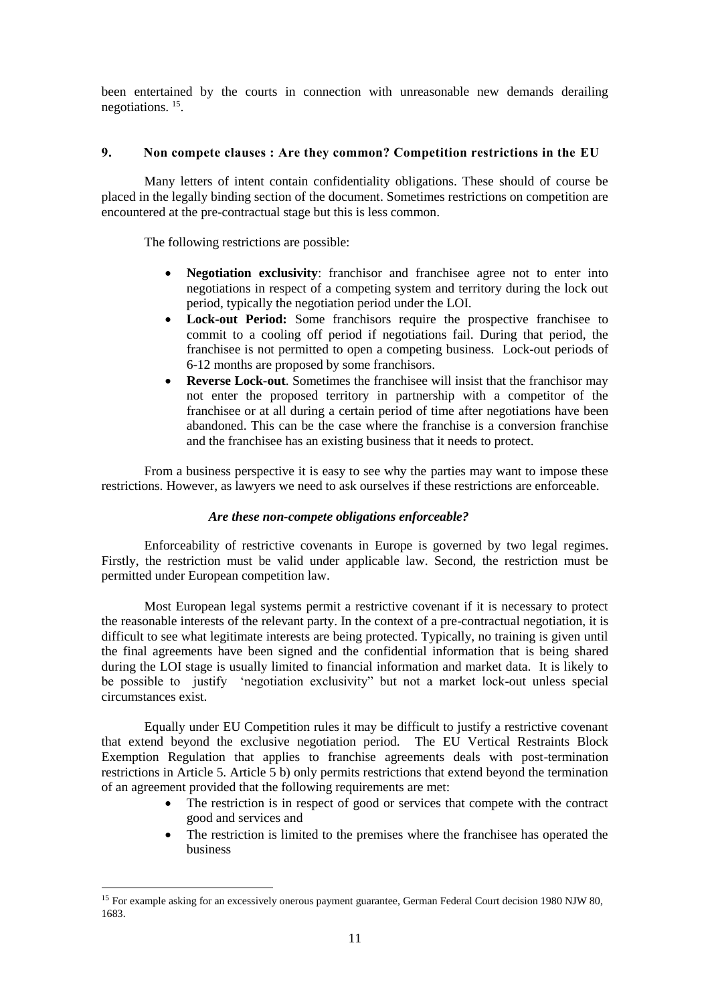been entertained by the courts in connection with unreasonable new demands derailing negotiations. <sup>15</sup> .

## <span id="page-10-0"></span>**9. Non compete clauses : Are they common? Competition restrictions in the EU**

Many letters of intent contain confidentiality obligations. These should of course be placed in the legally binding section of the document. Sometimes restrictions on competition are encountered at the pre-contractual stage but this is less common.

The following restrictions are possible:

- **Negotiation exclusivity**: franchisor and franchisee agree not to enter into negotiations in respect of a competing system and territory during the lock out period, typically the negotiation period under the LOI.
- **Lock-out Period:** Some franchisors require the prospective franchisee to commit to a cooling off period if negotiations fail. During that period, the franchisee is not permitted to open a competing business. Lock-out periods of 6-12 months are proposed by some franchisors.
- **Reverse Lock-out**. Sometimes the franchisee will insist that the franchisor may not enter the proposed territory in partnership with a competitor of the franchisee or at all during a certain period of time after negotiations have been abandoned. This can be the case where the franchise is a conversion franchise and the franchisee has an existing business that it needs to protect.

From a business perspective it is easy to see why the parties may want to impose these restrictions. However, as lawyers we need to ask ourselves if these restrictions are enforceable.

## *Are these non-compete obligations enforceable?*

Enforceability of restrictive covenants in Europe is governed by two legal regimes. Firstly, the restriction must be valid under applicable law. Second, the restriction must be permitted under European competition law.

Most European legal systems permit a restrictive covenant if it is necessary to protect the reasonable interests of the relevant party. In the context of a pre-contractual negotiation, it is difficult to see what legitimate interests are being protected. Typically, no training is given until the final agreements have been signed and the confidential information that is being shared during the LOI stage is usually limited to financial information and market data. It is likely to be possible to justify 'negotiation exclusivity" but not a market lock-out unless special circumstances exist.

Equally under EU Competition rules it may be difficult to justify a restrictive covenant that extend beyond the exclusive negotiation period. The EU Vertical Restraints Block Exemption Regulation that applies to franchise agreements deals with post-termination restrictions in Article 5. Article 5 b) only permits restrictions that extend beyond the termination of an agreement provided that the following requirements are met:

- The restriction is in respect of good or services that compete with the contract good and services and
- The restriction is limited to the premises where the franchisee has operated the business

<sup>&</sup>lt;sup>15</sup> For example asking for an excessively onerous payment guarantee, German Federal Court decision 1980 NJW 80, 1683.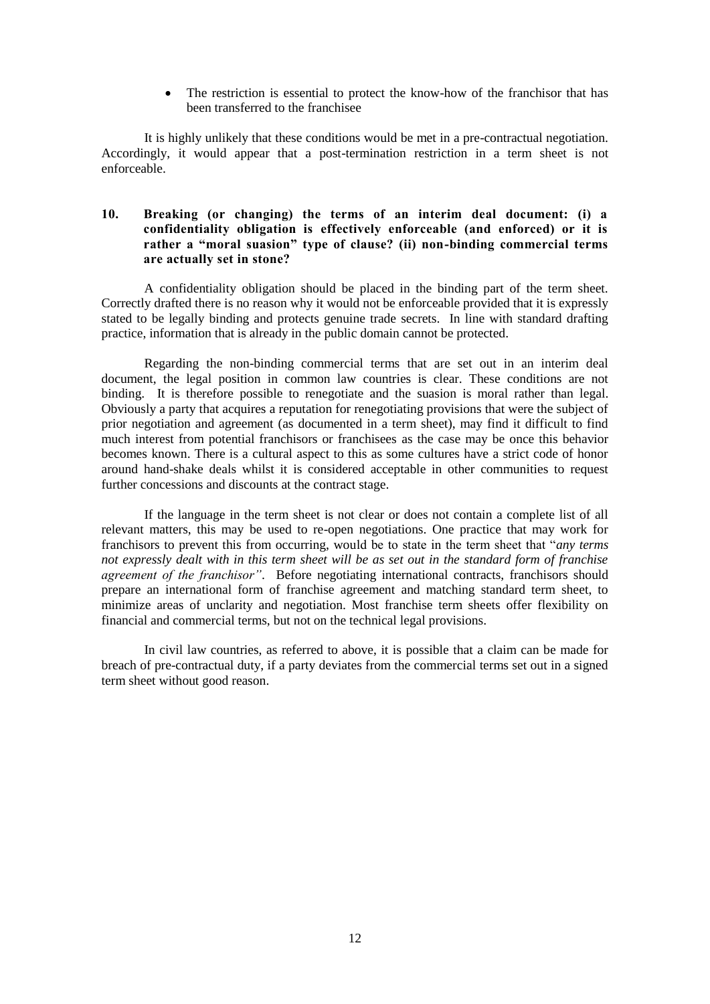• The restriction is essential to protect the know-how of the franchisor that has been transferred to the franchisee

It is highly unlikely that these conditions would be met in a pre-contractual negotiation. Accordingly, it would appear that a post-termination restriction in a term sheet is not enforceable.

## <span id="page-11-0"></span>**10. Breaking (or changing) the terms of an interim deal document: (i) a confidentiality obligation is effectively enforceable (and enforced) or it is rather a "moral suasion" type of clause? (ii) non-binding commercial terms are actually set in stone?**

A confidentiality obligation should be placed in the binding part of the term sheet. Correctly drafted there is no reason why it would not be enforceable provided that it is expressly stated to be legally binding and protects genuine trade secrets. In line with standard drafting practice, information that is already in the public domain cannot be protected.

Regarding the non-binding commercial terms that are set out in an interim deal document, the legal position in common law countries is clear. These conditions are not binding. It is therefore possible to renegotiate and the suasion is moral rather than legal. Obviously a party that acquires a reputation for renegotiating provisions that were the subject of prior negotiation and agreement (as documented in a term sheet), may find it difficult to find much interest from potential franchisors or franchisees as the case may be once this behavior becomes known. There is a cultural aspect to this as some cultures have a strict code of honor around hand-shake deals whilst it is considered acceptable in other communities to request further concessions and discounts at the contract stage.

If the language in the term sheet is not clear or does not contain a complete list of all relevant matters, this may be used to re-open negotiations. One practice that may work for franchisors to prevent this from occurring, would be to state in the term sheet that "*any terms not expressly dealt with in this term sheet will be as set out in the standard form of franchise agreement of the franchisor"*. Before negotiating international contracts, franchisors should prepare an international form of franchise agreement and matching standard term sheet, to minimize areas of unclarity and negotiation. Most franchise term sheets offer flexibility on financial and commercial terms, but not on the technical legal provisions.

In civil law countries, as referred to above, it is possible that a claim can be made for breach of pre-contractual duty, if a party deviates from the commercial terms set out in a signed term sheet without good reason.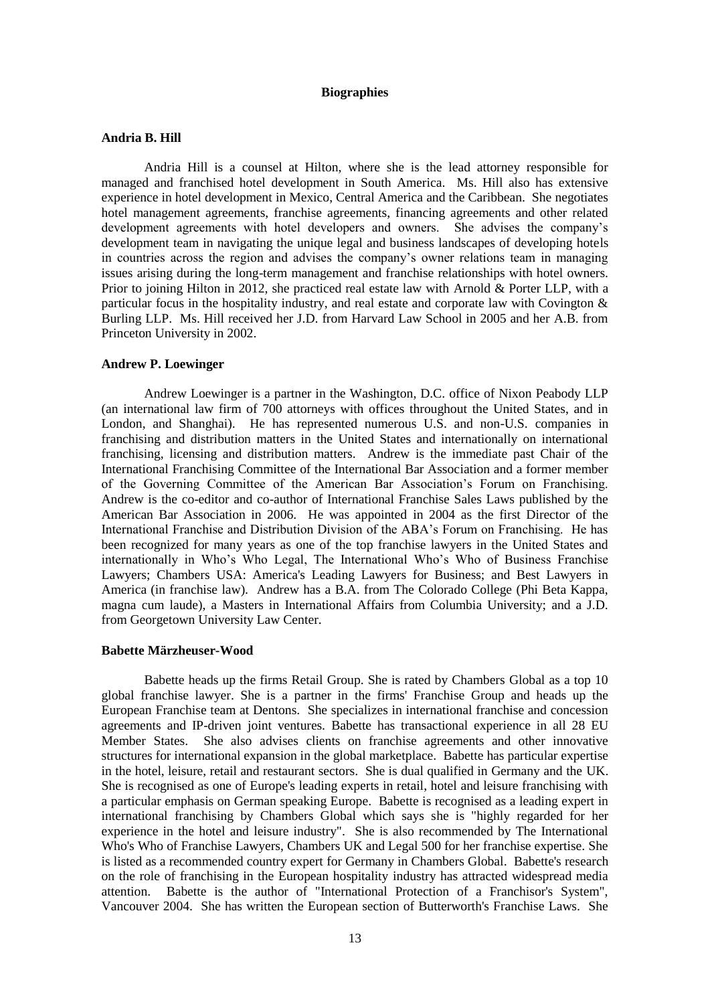## **Biographies**

### **Andria B. Hill**

Andria Hill is a counsel at Hilton, where she is the lead attorney responsible for managed and franchised hotel development in South America. Ms. Hill also has extensive experience in hotel development in Mexico, Central America and the Caribbean. She negotiates hotel management agreements, franchise agreements, financing agreements and other related development agreements with hotel developers and owners. She advises the company's development team in navigating the unique legal and business landscapes of developing hotels in countries across the region and advises the company's owner relations team in managing issues arising during the long-term management and franchise relationships with hotel owners. Prior to joining Hilton in 2012, she practiced real estate law with Arnold & Porter LLP, with a particular focus in the hospitality industry, and real estate and corporate law with Covington & Burling LLP. Ms. Hill received her J.D. from Harvard Law School in 2005 and her A.B. from Princeton University in 2002.

#### **Andrew P. Loewinger**

Andrew Loewinger is a partner in the Washington, D.C. office of Nixon Peabody LLP (an international law firm of 700 attorneys with offices throughout the United States, and in London, and Shanghai). He has represented numerous U.S. and non-U.S. companies in franchising and distribution matters in the United States and internationally on international franchising, licensing and distribution matters. Andrew is the immediate past Chair of the International Franchising Committee of the International Bar Association and a former member of the Governing Committee of the American Bar Association's Forum on Franchising. Andrew is the co-editor and co-author of International Franchise Sales Laws published by the American Bar Association in 2006. He was appointed in 2004 as the first Director of the International Franchise and Distribution Division of the ABA's Forum on Franchising. He has been recognized for many years as one of the top franchise lawyers in the United States and internationally in Who's Who Legal, The International Who's Who of Business Franchise Lawyers; Chambers USA: America's Leading Lawyers for Business; and Best Lawyers in America (in franchise law). Andrew has a B.A. from The Colorado College (Phi Beta Kappa, magna cum laude), a Masters in International Affairs from Columbia University; and a J.D. from Georgetown University Law Center.

#### **Babette Märzheuser-Wood**

Babette heads up the firms Retail Group. She is rated by Chambers Global as a top 10 global franchise lawyer. She is a partner in the firms' Franchise Group and heads up the European Franchise team at Dentons. She specializes in international franchise and concession agreements and IP-driven joint ventures. Babette has transactional experience in all 28 EU Member States. She also advises clients on franchise agreements and other innovative structures for international expansion in the global marketplace. Babette has particular expertise in the hotel, leisure, retail and restaurant sectors. She is dual qualified in Germany and the UK. She is recognised as one of Europe's leading experts in retail, hotel and leisure franchising with a particular emphasis on German speaking Europe. Babette is recognised as a leading expert in international franchising by Chambers Global which says she is "highly regarded for her experience in the hotel and leisure industry". She is also recommended by The International Who's Who of Franchise Lawyers, Chambers UK and Legal 500 for her franchise expertise. She is listed as a recommended country expert for Germany in Chambers Global. Babette's research on the role of franchising in the European hospitality industry has attracted widespread media attention. Babette is the author of "International Protection of a Franchisor's System", Vancouver 2004. She has written the European section of Butterworth's Franchise Laws. She